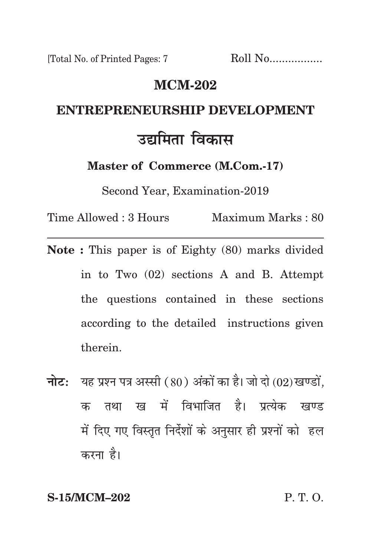## **mcm-202**

# **entrepreneurship development** उद्यमिता विका**स**

**Master of Commerce (M.Com.-17)**

Second Year, Examination-2019

Time Allowed : 3 Hours Maximum Marks : 80

- **Note :** This paper is of Eighty (80) marks divided in to Two (02) sections A and B. Attempt the questions contained in these sections according to the detailed instructions given therein.
- **नोट:** यह प्रश्न पत्र अस्सी (80) अंकों का है। जो दो (02) खण्डों, क तथा ख में विभाजित है। प्रत्येक खण्ड में दिए गए विस्तृत निर्देशों के अनुसार ही प्रश्नों को हल करना है।

**S-15/MCM–202** P. T. O.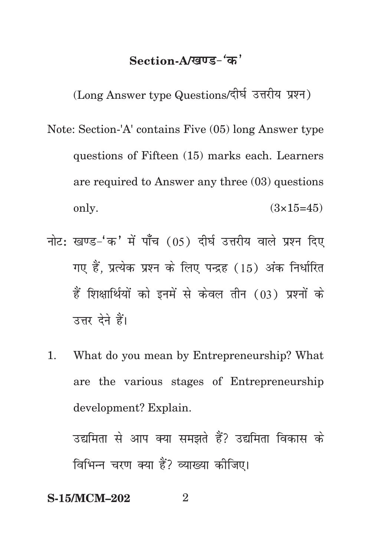## Section-A/**खण्ड-** 'क'

(Long Answer type Questions/दीर्घ उत्तरीय प्रश्न)

- Note: Section-'A' contains Five (05) long Answer type questions of Fifteen (15) marks each. Learners are required to Answer any three (03) questions only.  $(3 \times 15=45)$
- नोट: खण्ड-'क' में पाँच (05) दीर्घ उत्तरीय वाले प्रश्न दिए गए हैं. प्रत्येक प्रश्न के लिए पन्द्रह (15) अंक निर्धारित हैं शिक्षार्थियों को इनमें से केवल तीन (03) प्रश्नों के उत्तर देने हैं।
- 1. What do you mean by Entrepreneurship? What are the various stages of Entrepreneurship development? Explain.

उद्यमिता से आप क्या समझते हैं? उद्यमिता विकास के विभिन्न चरण क्या हैं? व्याख्या कोजिए।

## **S-15/MCM-202** 2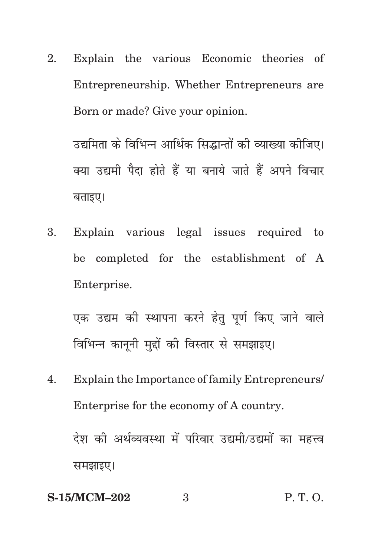2. Explain the various Economic theories of Entrepreneurship. Whether Entrepreneurs are Born or made? Give your opinion.

उद्यमिता के विभिन्न आर्थिक सिद्धान्तों की व्याख्या कीजिए। क्या उद्यमी पैदा होते हैं या बनाये जाते हैं अपने विचार बताइए।

3. Explain various legal issues required to be completed for the establishment of A Enterprise.

एक उद्यम की स्थापना करने हेतु पूर्ण किए जाने वाले विभिन्न काननी मद्दों की विस्तार से समझाइए।

4. Explain the Importance of family Entrepreneurs/ Enterprise for the economy of A country. देश की अर्थव्यवस्था में परिवार उद्यमी/उद्यमों का महत्त्व

समझाइए।

# **S-15/MCM–202** 3 P. T. O.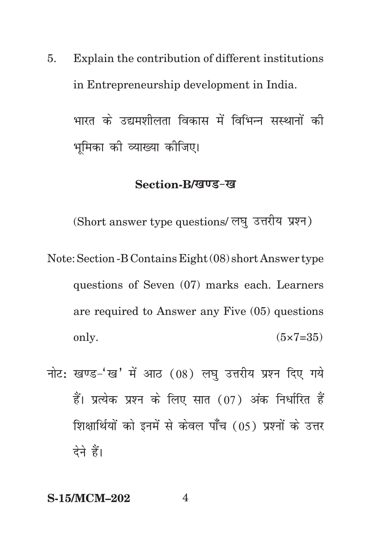Explain the contribution of different institutions 5. in Entrepreneurship development in India.

भारत के उद्यमशीलता विकास में विभिन्न संस्थानों की भमिका की व्याख्या कीजिए।

## Section-B/खण्ड-ख

(Short answer type questions/ लघु उत्तरीय प्रश्न)

- Note: Section B Contains Eight (08) short Answer type questions of Seven (07) marks each. Learners are required to Answer any Five (05) questions only.  $(5 \times 7 = 35)$
- नोट: खण्ड-'ख' में आठ (08) लघु उत्तरीय प्रश्न दिए गये हैं। प्रत्येक प्रश्न के लिए सात (07) अंक निर्धारित हैं शिक्षार्थियों को इनमें से केवल पाँच (05) प्रश्नों के उत्तर देने हैं।

 $\overline{\mathcal{A}}$ 

#### **S-15/MCM-202**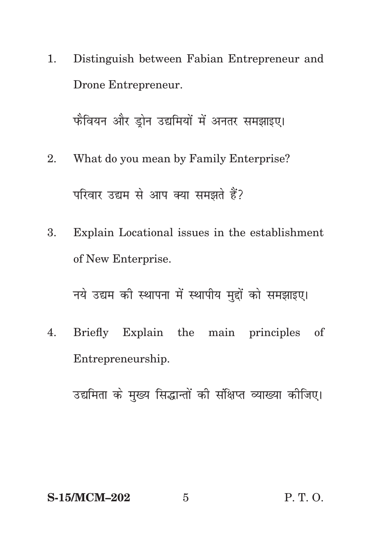1. Distinguish between Fabian Entrepreneur and Drone Entrepreneur.

फैवियन और डोन उद्यमियों में अनतर समझाइए।

- 2. What do you mean by Family Enterprise? परिवार उद्यम से आप क्या समझते हैं?
- 3. Explain Locational issues in the establishment of New Enterprise.

नये उद्यम की स्थापना में स्थापीय मुद्दों को समझाइए।

4. Briefly Explain the main principles of Entrepreneurship.

उद्यमिता के मख्य सिद्धान्तों की संक्षिप्त व्याख्या कीजिए।

## **S-15/MCM–202** 5 P. T. O.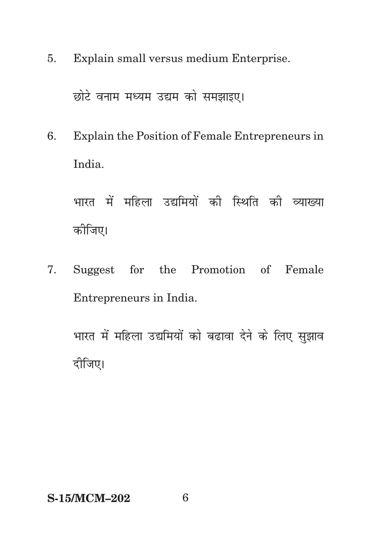5. Explain small versus medium Enterprise.

छोटे वनाम मध्यम उद्यम को समझाइए।

6. Explain the Position of Female Entrepreneurs in India.

भारत में महिला उद्यमियों की स्थिति की व्याख्या कोजिए।

7. Suggest for the Promotion of Female Entrepreneurs in India.

भारत में महिला उद्यमियों को बढावा देने के लिए सुझाव दीजिए।

**S-15/MCM–202** 6